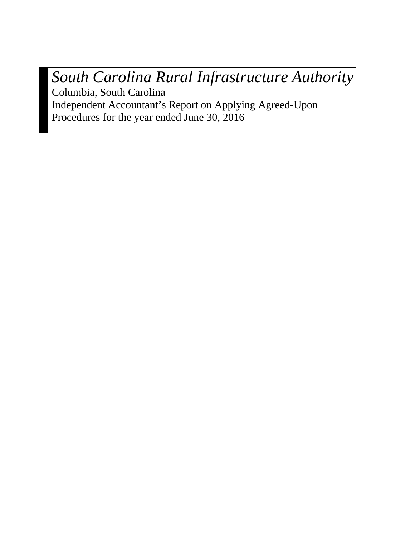*South Carolina Rural Infrastructure Authority* Columbia, South Carolina Independent Accountant's Report on Applying Agreed-Upon

Procedures for the year ended June 30, 2016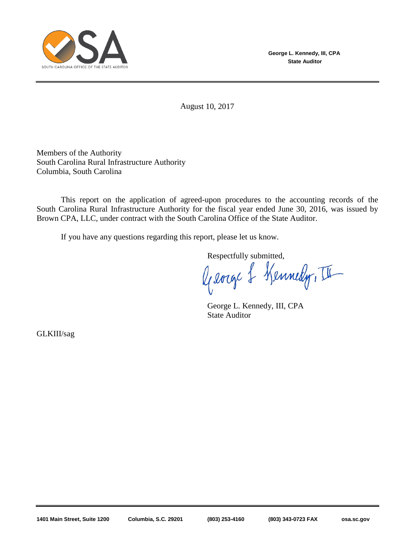

**George L. Kennedy, III, CPA State Auditor**

August 10, 2017

Members of the Authority South Carolina Rural Infrastructure Authority Columbia, South Carolina

This report on the application of agreed-upon procedures to the accounting records of the South Carolina Rural Infrastructure Authority for the fiscal year ended June 30, 2016, was issued by Brown CPA, LLC, under contract with the South Carolina Office of the State Auditor.

If you have any questions regarding this report, please let us know.

Respectfully submitted,

George & Kennedy, II

George L. Kennedy, III, CPA State Auditor

GLKIII/sag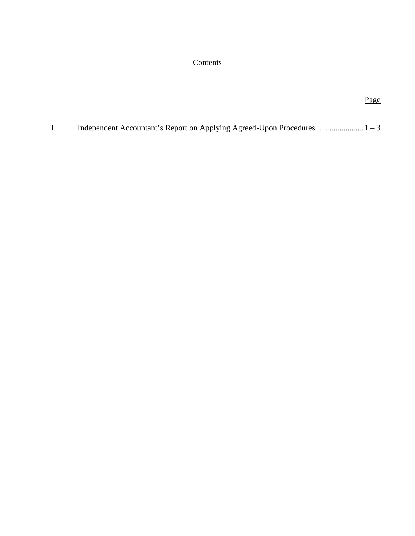# Contents

# Page

I. Independent Accountant's Report on Applying Agreed-Upon Procedures ....................... 1 – 3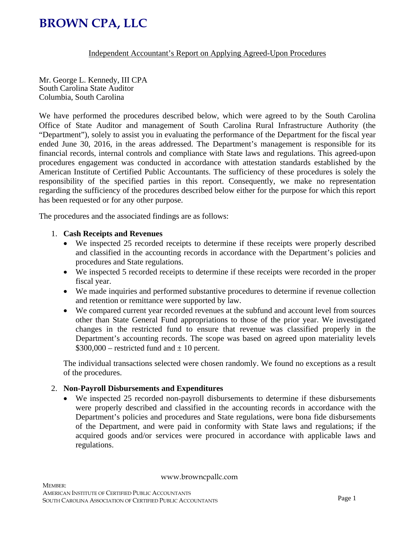# **BROWN CPA, LLC**

Independent Accountant's Report on Applying Agreed-Upon Procedures

Mr. George L. Kennedy, III CPA South Carolina State Auditor Columbia, South Carolina

We have performed the procedures described below, which were agreed to by the South Carolina Office of State Auditor and management of South Carolina Rural Infrastructure Authority (the "Department"), solely to assist you in evaluating the performance of the Department for the fiscal year ended June 30, 2016, in the areas addressed. The Department's management is responsible for its financial records, internal controls and compliance with State laws and regulations. This agreed-upon procedures engagement was conducted in accordance with attestation standards established by the American Institute of Certified Public Accountants. The sufficiency of these procedures is solely the responsibility of the specified parties in this report. Consequently, we make no representation regarding the sufficiency of the procedures described below either for the purpose for which this report has been requested or for any other purpose.

The procedures and the associated findings are as follows:

#### 1. **Cash Receipts and Revenues**

- We inspected 25 recorded receipts to determine if these receipts were properly described and classified in the accounting records in accordance with the Department's policies and procedures and State regulations.
- We inspected 5 recorded receipts to determine if these receipts were recorded in the proper fiscal year.
- We made inquiries and performed substantive procedures to determine if revenue collection and retention or remittance were supported by law.
- We compared current year recorded revenues at the subfund and account level from sources other than State General Fund appropriations to those of the prior year. We investigated changes in the restricted fund to ensure that revenue was classified properly in the Department's accounting records. The scope was based on agreed upon materiality levels  $$300,000$  – restricted fund and  $\pm 10$  percent.

The individual transactions selected were chosen randomly. We found no exceptions as a result of the procedures.

#### 2. **Non-Payroll Disbursements and Expenditures**

 We inspected 25 recorded non-payroll disbursements to determine if these disbursements were properly described and classified in the accounting records in accordance with the Department's policies and procedures and State regulations, were bona fide disbursements of the Department, and were paid in conformity with State laws and regulations; if the acquired goods and/or services were procured in accordance with applicable laws and regulations.

www.browncpallc.com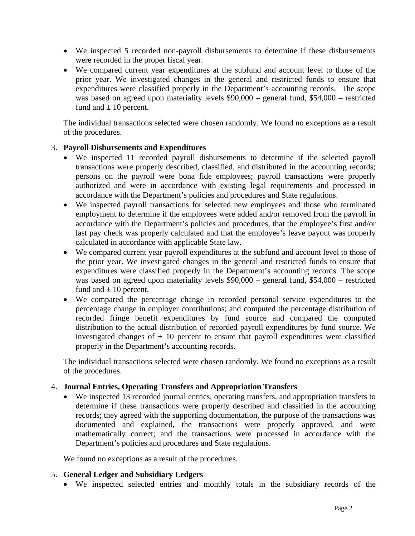- We inspected 5 recorded non-payroll disbursements to determine if these disbursements were recorded in the proper fiscal year.
- We compared current year expenditures at the subfund and account level to those of the prior year. We investigated changes in the general and restricted funds to ensure that expenditures were classified properly in the Department's accounting records. The scope was based on agreed upon materiality levels \$90,000 – general fund, \$54,000 – restricted fund and  $\pm 10$  percent.

The individual transactions selected were chosen randomly. We found no exceptions as a result of the procedures.

## 3. **Payroll Disbursements and Expenditures**

- We inspected 11 recorded payroll disbursements to determine if the selected payroll transactions were properly described, classified, and distributed in the accounting records; persons on the payroll were bona fide employees; payroll transactions were properly authorized and were in accordance with existing legal requirements and processed in accordance with the Department's policies and procedures and State regulations.
- We inspected payroll transactions for selected new employees and those who terminated employment to determine if the employees were added and/or removed from the payroll in accordance with the Department's policies and procedures, that the employee's first and/or last pay check was properly calculated and that the employee's leave payout was properly calculated in accordance with applicable State law.
- We compared current year payroll expenditures at the subfund and account level to those of the prior year. We investigated changes in the general and restricted funds to ensure that expenditures were classified properly in the Department's accounting records. The scope was based on agreed upon materiality levels \$90,000 – general fund, \$54,000 – restricted fund and  $\pm 10$  percent.
- We compared the percentage change in recorded personal service expenditures to the percentage change in employer contributions; and computed the percentage distribution of recorded fringe benefit expenditures by fund source and compared the computed distribution to the actual distribution of recorded payroll expenditures by fund source. We investigated changes of  $\pm$  10 percent to ensure that payroll expenditures were classified properly in the Department's accounting records.

The individual transactions selected were chosen randomly. We found no exceptions as a result of the procedures.

#### 4. **Journal Entries, Operating Transfers and Appropriation Transfers**

 We inspected 13 recorded journal entries, operating transfers, and appropriation transfers to determine if these transactions were properly described and classified in the accounting records; they agreed with the supporting documentation, the purpose of the transactions was documented and explained, the transactions were properly approved, and were mathematically correct; and the transactions were processed in accordance with the Department's policies and procedures and State regulations.

We found no exceptions as a result of the procedures.

#### 5. **General Ledger and Subsidiary Ledgers**

We inspected selected entries and monthly totals in the subsidiary records of the